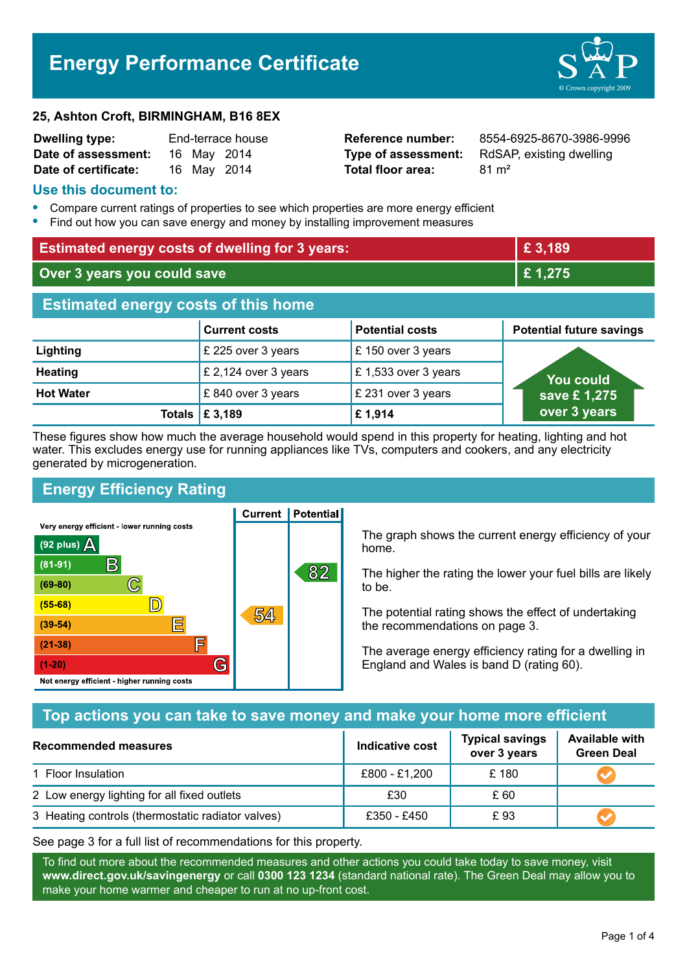# **Energy Performance Certificate**

#### **25, Ashton Croft, BIRMINGHAM, B16 8EX**

| <b>Dwelling type:</b> | End-terrace house |             |             |
|-----------------------|-------------------|-------------|-------------|
| Date of assessment:   |                   | 16 May 2014 |             |
| Date of certificate:  |                   |             | 16 May 2014 |

# **Total floor area:** 81 m<sup>2</sup>

**Reference number:** 8554-6925-8670-3986-9996 **Type of assessment:** RdSAP, existing dwelling

## **Use this document to:**

- **•** Compare current ratings of properties to see which properties are more energy efficient
- **•** Find out how you can save energy and money by installing improvement measures

| <b>Estimated energy costs of dwelling for 3 years:</b> |                           | £ 3,189                |                                 |  |
|--------------------------------------------------------|---------------------------|------------------------|---------------------------------|--|
| Over 3 years you could save                            |                           | £1,275                 |                                 |  |
| <b>Estimated energy costs of this home</b>             |                           |                        |                                 |  |
|                                                        | <b>Current costs</b>      | <b>Potential costs</b> | <b>Potential future savings</b> |  |
| Lighting                                               | £ 225 over 3 years        | £ 150 over 3 years     |                                 |  |
| <b>Heating</b>                                         | £ 2,124 over 3 years      | £ 1,533 over 3 years   | You could                       |  |
| <b>Hot Water</b>                                       | £840 over 3 years         | £ 231 over 3 years     | save £1,275                     |  |
|                                                        | Totals $\mathsf{E}$ 3,189 | £1,914                 | over 3 years                    |  |

These figures show how much the average household would spend in this property for heating, lighting and hot water. This excludes energy use for running appliances like TVs, computers and cookers, and any electricity generated by microgeneration.

**Current | Potential** 

# **Energy Efficiency Rating**

Very energy efficient - lower running costs



The graph shows the current energy efficiency of your home.

The higher the rating the lower your fuel bills are likely to be.

The potential rating shows the effect of undertaking the recommendations on page 3.

The average energy efficiency rating for a dwelling in England and Wales is band D (rating 60).

# **Top actions you can take to save money and make your home more efficient**

| <b>Recommended measures</b>                       | Indicative cost | <b>Typical savings</b><br>over 3 years | <b>Available with</b><br><b>Green Deal</b> |  |
|---------------------------------------------------|-----------------|----------------------------------------|--------------------------------------------|--|
| 1 Floor Insulation                                | £800 - £1,200   | £180                                   |                                            |  |
| 2 Low energy lighting for all fixed outlets       | £30             | £ 60                                   |                                            |  |
| 3 Heating controls (thermostatic radiator valves) | £350 - £450     | £93                                    |                                            |  |

See page 3 for a full list of recommendations for this property.

To find out more about the recommended measures and other actions you could take today to save money, visit **www.direct.gov.uk/savingenergy** or call **0300 123 1234** (standard national rate). The Green Deal may allow you to make your home warmer and cheaper to run at no up-front cost.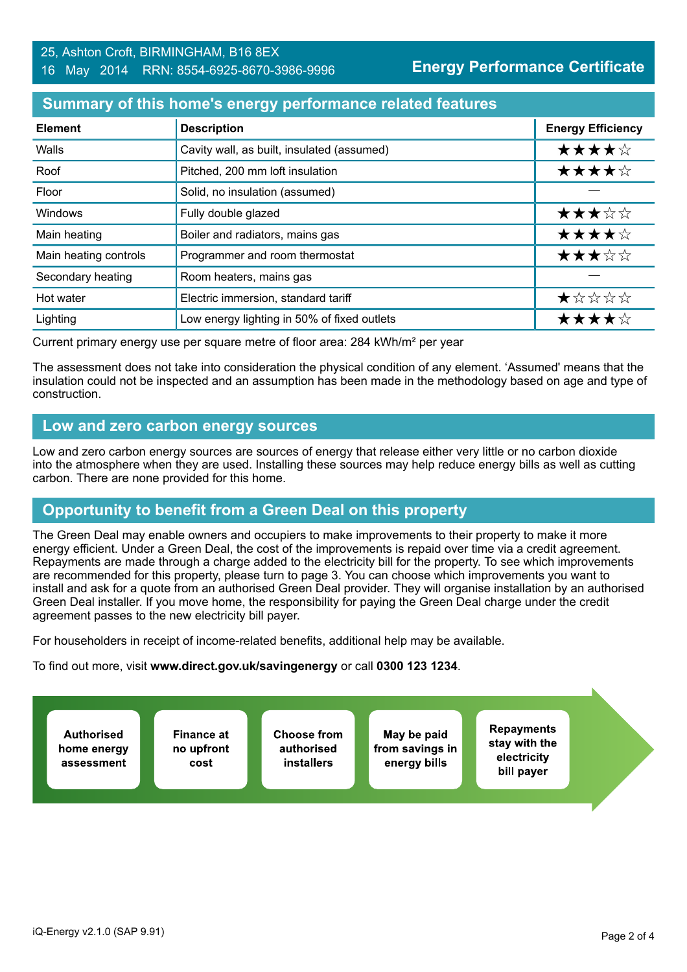# **Summary of this home's energy performance related features**

| <b>Element</b>        | <b>Description</b>                          | <b>Energy Efficiency</b> |
|-----------------------|---------------------------------------------|--------------------------|
| Walls                 | Cavity wall, as built, insulated (assumed)  | ★★★★☆                    |
| Roof                  | Pitched, 200 mm loft insulation             | ★★★★☆                    |
| Floor                 | Solid, no insulation (assumed)              |                          |
| Windows               | Fully double glazed                         | ★★★☆☆                    |
| Main heating          | Boiler and radiators, mains gas             | ★★★★☆                    |
| Main heating controls | Programmer and room thermostat              | ★★★☆☆                    |
| Secondary heating     | Room heaters, mains gas                     |                          |
| Hot water             | Electric immersion, standard tariff         | ★☆☆☆☆                    |
| Lighting              | Low energy lighting in 50% of fixed outlets | ★★★★☆                    |

Current primary energy use per square metre of floor area: 284 kWh/m² per year

The assessment does not take into consideration the physical condition of any element. 'Assumed' means that the insulation could not be inspected and an assumption has been made in the methodology based on age and type of construction.

# **Low and zero carbon energy sources**

Low and zero carbon energy sources are sources of energy that release either very little or no carbon dioxide into the atmosphere when they are used. Installing these sources may help reduce energy bills as well as cutting carbon. There are none provided for this home.

# **Opportunity to benefit from a Green Deal on this property**

The Green Deal may enable owners and occupiers to make improvements to their property to make it more energy efficient. Under a Green Deal, the cost of the improvements is repaid over time via a credit agreement. Repayments are made through a charge added to the electricity bill for the property. To see which improvements are recommended for this property, please turn to page 3. You can choose which improvements you want to install and ask for a quote from an authorised Green Deal provider. They will organise installation by an authorised Green Deal installer. If you move home, the responsibility for paying the Green Deal charge under the credit agreement passes to the new electricity bill payer.

For householders in receipt of income-related benefits, additional help may be available.

To find out more, visit **www.direct.gov.uk/savingenergy** or call **0300 123 1234**.

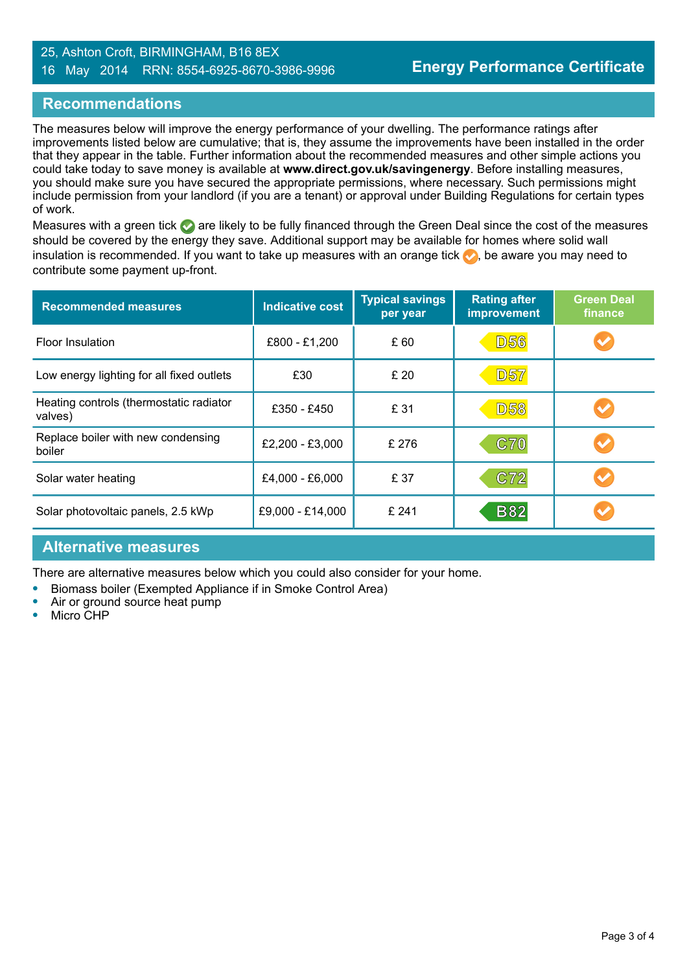#### 25, Ashton Croft, BIRMINGHAM, B16 8EX 16 May 2014 RRN: 8554-6925-8670-3986-9996

# **Recommendations**

The measures below will improve the energy performance of your dwelling. The performance ratings after improvements listed below are cumulative; that is, they assume the improvements have been installed in the order that they appear in the table. Further information about the recommended measures and other simple actions you could take today to save money is available at **www.direct.gov.uk/savingenergy**. Before installing measures, you should make sure you have secured the appropriate permissions, where necessary. Such permissions might include permission from your landlord (if you are a tenant) or approval under Building Regulations for certain types of work.

Measures with a green tick are likely to be fully financed through the Green Deal since the cost of the measures should be covered by the energy they save. Additional support may be available for homes where solid wall insulation is recommended. If you want to take up measures with an orange tick  $\blacklozenge$ , be aware you may need to contribute some payment up-front.

| <b>Recommended measures</b>                        | <b>Indicative cost</b> | <b>Typical savings</b><br>per year | <b>Rating after</b><br><b>improvement</b> | <b>Green Deal</b><br>finance |
|----------------------------------------------------|------------------------|------------------------------------|-------------------------------------------|------------------------------|
| Floor Insulation                                   | £800 - £1,200          | £ 60                               | <b>D56</b>                                |                              |
| Low energy lighting for all fixed outlets          | £30                    | £ 20                               | <b>D57</b>                                |                              |
| Heating controls (thermostatic radiator<br>valves) | £350 - £450            | £ 31                               | <b>D58</b>                                |                              |
| Replace boiler with new condensing<br>boiler       | £2,200 - £3,000        | £ 276                              | C70                                       |                              |
| Solar water heating                                | £4,000 - £6,000        | £ 37                               | C72                                       |                              |
| Solar photovoltaic panels, 2.5 kWp                 | £9,000 - £14,000       | £241                               | <b>B82</b>                                |                              |

## **Alternative measures**

There are alternative measures below which you could also consider for your home.

- **•** Biomass boiler (Exempted Appliance if in Smoke Control Area)
- **•** Air or ground source heat pump
- **•** Micro CHP